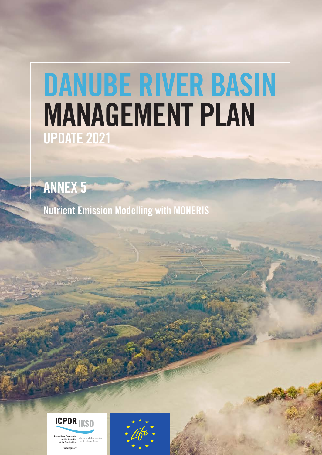# DANUBE RIVER BASIN MANAGEMENT PLAN UPDATE 2021

ANNEX 5

Nutrient Emission Modelling with MONERIS



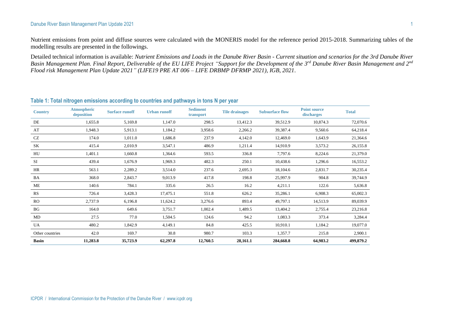#### Danube River Basin Management Plan Update 2021 1

Nutrient emissions from point and diffuse sources were calculated with the MONERIS model for the reference period 2015-2018. Summarizing tables of the modelling results are presented in the followings.

Detailed technical information is available: *Nutrient Emissions and Loads in the Danube River Basin - Current situation and scenarios for the 3rd Danube River Basin Management Plan. Final Report, Deliverable of the EU LIFE Project "Support for the Development of the 3rd Danube River Basin Management and 2nd Flood risk Management Plan Update 2021" (LIFE19 PRE AT 006 – LIFE DRBMP DFRMP 2021), IGB, 2021*.

| <b>Country</b>  | <b>Atmospheric</b><br>deposition | <b>Surface runoff</b> | <b>Urban runoff</b> | <b>Sediment</b><br>transport | <b>Tile drainages</b> | <b>Subsurface flow</b> | <b>Point source</b><br>discharges | <b>Total</b> |
|-----------------|----------------------------------|-----------------------|---------------------|------------------------------|-----------------------|------------------------|-----------------------------------|--------------|
| DE              | 1,655.8                          | 5,169.8               | 1,147.0             | 298.5                        | 13,412.3              | 39,512.9               | 10,874.3                          | 72,070.6     |
| AT              | 1,948.3                          | 5,913.1               | 1,184.2             | 3,958.6                      | 2,266.2               | 39,387.4               | 9,560.6                           | 64,218.4     |
| CZ              | 174.0                            | 1,011.0               | 1,686.8             | 237.9                        | 4,142.0               | 12,469.0               | 1,643.9                           | 21,364.6     |
| <b>SK</b>       | 415.4                            | 2,010.9               | 3,547.1             | 486.9                        | 1,211.4               | 14,910.9               | 3,573.2                           | 26,155.8     |
| HU              | 1,401.1                          | 1,660.8               | 1,364.6             | 593.5                        | 336.8                 | 7,797.6                | 8,224.6                           | 21,379.0     |
| SI              | 439.4                            | 1,676.9               | 1,969.3             | 482.3                        | 250.1                 | 10,438.6               | 1,296.6                           | 16,553.2     |
| HR              | 563.1                            | 2,289.2               | 3,514.0             | 237.6                        | 2,695.3               | 18,104.6               | 2,831.7                           | 30,235.4     |
| BA              | 368.0                            | 2,843.7               | 9,013.9             | 417.8                        | 198.8                 | 25,997.9               | 904.8                             | 39,744.9     |
| ME              | 140.6                            | 784.1                 | 335.6               | 26.5                         | 16.2                  | 4,211.1                | 122.6                             | 5,636.8      |
| RS              | 726.4                            | 3,428.3               | 17,475.1            | 551.8                        | 626.2                 | 35,286.1               | 6,908.3                           | 65,002.3     |
| <b>RO</b>       | 2,737.9                          | 6,196.8               | 11,624.2            | 3,276.6                      | 893.4                 | 49,797.1               | 14,513.9                          | 89,039.9     |
| BG              | 164.0                            | 649.6                 | 3,751.7             | 1,002.4                      | 1,489.5               | 13,404.2               | 2,755.4                           | 23,216.8     |
| MD              | 27.5                             | 77.0                  | 1,504.5             | 124.6                        | 94.2                  | 1,083.3                | 373.4                             | 3,284.4      |
| UA              | 480.2                            | 1,842.9               | 4,149.1             | 84.8                         | 425.5                 | 10,910.1               | 1,184.2                           | 19,077.0     |
| Other countries | 42.0                             | 169.7                 | 30.8                | 980.7                        | 103.3                 | 1,357.7                | 215.8                             | 2,900.1      |
| <b>Basin</b>    | 11,283.8                         | 35,723.9              | 62,297.8            | 12,760.5                     | 28,161.1              | 284,668.8              | 64,983.2                          | 499,879.2    |

#### **Table 1: Total nitrogen emissions according to countries and pathways in tons N per year**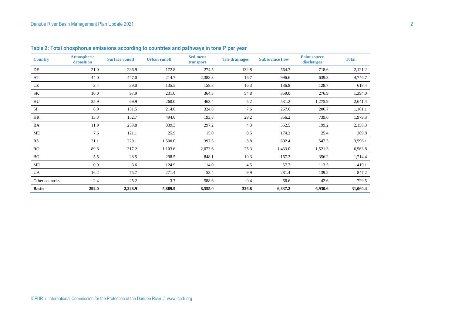| <b>Country</b>  | <b>Atmospheric</b><br>deposition | <b>Surface runoff</b> | <b>Urban runoff</b> | <b>Sediment</b><br>transport | <b>Tile drainages</b> | <b>Subsurface flow</b> | <b>Point source</b><br>discharges | <b>Total</b> |
|-----------------|----------------------------------|-----------------------|---------------------|------------------------------|-----------------------|------------------------|-----------------------------------|--------------|
| DE              | 21.0                             | 236.9                 | 172.8               | 274.5                        | 132.8                 | 564.7                  | 718.6                             | 2,121.2      |
| AT              | 44.0                             | 447.0                 | 214.7               | 2,388.3                      | 16.7                  | 996.6                  | 639.3                             | 4,746.7      |
| CZ              | 3.4                              | 39.0                  | 135.5               | 158.8                        | 16.3                  | 136.8                  | 128.7                             | 618.4        |
| SK              | 10.0                             | 97.9                  | 231.0               | 364.3                        | 54.8                  | 359.0                  | 276.9                             | 1,394.0      |
| HU              | 35.9                             | 69.9                  | 260.0               | 463.4                        | 5.2                   | 531.2                  | 1,275.9                           | 2,641.4      |
| SI              | 8.9                              | 131.5                 | 214.0               | 324.8                        | 7.6                   | 267.6                  | 206.7                             | 1,161.1      |
| HR              | 13.3                             | 152.7                 | 494.6               | 193.8                        | 29.2                  | 356.2                  | 739.6                             | 1,979.3      |
| BA              | 11.9                             | 253.8                 | 839.3               | 297.2                        | 4.3                   | 552.5                  | 199.2                             | 2,158.3      |
| ME              | 7.6                              | 121.1                 | 25.9                | 15.0                         | 0.5                   | 174.3                  | 25.4                              | 369.8        |
| RS              | 21.1                             | 229.1                 | 1,500.0             | 397.3                        | 8.8                   | 892.4                  | 547.5                             | 3,596.1      |
| <b>RO</b>       | 89.8                             | 317.2                 | 1,103.6             | 2,073.6                      | 25.3                  | 1,433.0                | 1,521.3                           | 6,563.8      |
| BG              | 5.5                              | 28.5                  | 298.5               | 848.1                        | 10.3                  | 167.3                  | 356.2                             | 1,714.4      |
| MD              | 0.9                              | 3.6                   | 124.9               | 114.0                        | 4.5                   | 57.7                   | 113.5                             | 419.1        |
| <b>UA</b>       | 16.2                             | 75.7                  | 271.4               | 53.4                         | 9.9                   | 281.4                  | 139.2                             | 847.2        |
| Other countries | 2.4                              | 25.2                  | 3.7                 | 588.6                        | 0.4                   | 66.6                   | 42.6                              | 729.5        |
| <b>Basin</b>    | 292.0                            | 2,228.9               | 5,889.9             | 8,555.0                      | 326.8                 | 6,837.2                | 6,930.6                           | 31,060.4     |

**Table 2: Total phosphorus emissions according to countries and pathways in tons P per year**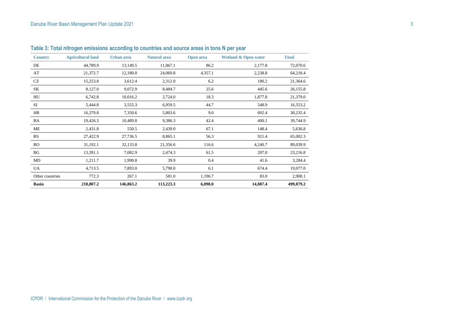| <b>Country</b>  | <b>Agricultural land</b> | Urban area | <b>Natural area</b> | <b>Open area</b> | <b>Wetland &amp; Open water</b> | <b>Total</b> |
|-----------------|--------------------------|------------|---------------------|------------------|---------------------------------|--------------|
| DE              | 44,789.9                 | 13,149.5   | 11,867.1            | 86.2             | 2,177.8                         | 72,070.6     |
| AT              | 21,372.7                 | 12,180.0   | 24,069.8            | 4,357.1          | 2,238.8                         | 64,218.4     |
| CZ              | 15,253.8                 | 3,612.4    | 2,312.0             | 6.2              | 180.2                           | 21,364.6     |
| SK              | 8,127.0                  | 9,072.9    | 8,484.7             | 25.6             | 445.6                           | 26,155.8     |
| HU              | 6,742.8                  | 10,016.2   | 2,724.0             | 18.3             | 1,877.8                         | 21,379.0     |
| SI              | 5,444.8                  | 3,555.3    | 6,959.5             | 44.7             | 548.9                           | 16,553.2     |
| HR              | 16,379.8                 | 7,350.6    | 5,803.6             | 9.0              | 692.4                           | 30,235.4     |
| BA              | 19,426.3                 | 10,489.8   | 9,386.3             | 42.4             | 400.1                           | 39,744.9     |
| ME              | 2,431.8                  | 550.5      | 2,439.0             | 67.1             | 148.4                           | 5,636.8      |
| RS              | 27,422.9                 | 27,736.5   | 8,865.1             | 56.3             | 921.4                           | 65,002.3     |
| <b>RO</b>       | 31,192.1                 | 32,133.8   | 21,356.6            | 116.6            | 4,240.7                         | 89,039.9     |
| BG              | 13,391.1                 | 7,082.9    | 2,474.3             | 61.5             | 207.0                           | 23,216.8     |
| MD              | 1,211.7                  | 1,990.8    | 39.9                | 0.4              | 41.6                            | 3,284.4      |
| UA.             | 4,713.5                  | 7,893.0    | 5,790.0             | 6.1              | 674.4                           | 19,077.0     |
| Other countries | 772.3                    | 267.1      | 581.0               | 1,196.7          | 83.0                            | 2,900.1      |
| <b>Basin</b>    | 218,807.2                | 146,863.2  | 113,223.3           | 6,098.0          | 14,887.4                        | 499,879.2    |

**Table 3: Total nitrogen emissions according to countries and source areas in tons N per year**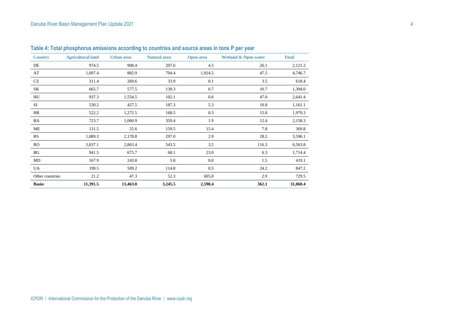| <b>Country</b>  | <b>Agricultural land</b> | Urban area | <b>Natural area</b> | <b>Open area</b> | <b>Wetland &amp; Open water</b> | <b>Total</b> |
|-----------------|--------------------------|------------|---------------------|------------------|---------------------------------|--------------|
| DE              | 974.5                    | 908.4      | 207.6               | 4.5              | 26.1                            | 2,121.2      |
| AT              | 1,097.4                  | 882.9      | 794.4               | 1,924.5          | 47.5                            | 4,746.7      |
| CZ              | 311.4                    | 269.6      | 33.9                | 0.1              | 3.5                             | 618.4        |
| SK              | 665.7                    | 577.5      | 139.3               | 0.7              | 10.7                            | 1,394.0      |
| HU              | 937.3                    | 1,554.5    | 102.1               | 0.6              | 47.0                            | 2,641.4      |
| SI              | 530.2                    | 427.5      | 187.3               | 5.3              | 10.8                            | 1,161.1      |
| HR              | 522.2                    | 1,272.5    | 168.5               | 0.3              | 15.8                            | 1,979.3      |
| BA              | 723.7                    | 1,060.9    | 359.4               | 1.9              | 12.4                            | 2,158.3      |
| ME              | 131.5                    | 55.6       | 159.5               | 15.4             | 7.8                             | 369.8        |
| RS              | 1,089.3                  | 2,178.8    | 297.0               | 2.9              | 28.2                            | 3,596.1      |
| RO              | 3,037.1                  | 2,863.4    | 543.5               | 3.5              | 116.3                           | 6,563.8      |
| BG              | 941.5                    | 675.7      | 68.1                | 23.0             | 6.3                             | 1,714.4      |
| MD              | 167.9                    | 243.8      | 5.8                 | 0.0              | 1.5                             | 419.1        |
| UA              | 198.5                    | 509.2      | 114.8               | 0.5              | 24.2                            | 847.2        |
| Other countries | 21.2                     | 47.3       | 52.3                | 605.8            | 2.9                             | 729.5        |
| <b>Basin</b>    | 11,391.5                 | 13,463.0   | 3,245.5             | 2,598.4          | 362.1                           | 31,060.4     |

**Table 4: Total phosphorus emissions according to countries and source areas in tons P per year**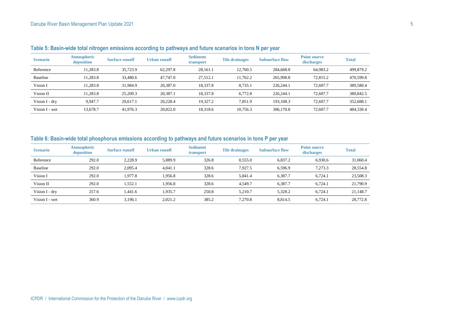| <b>Scenario</b> | <b>Atmospheric</b><br>deposition | <b>Surface runoff</b> | Urban runoff | <b>Sediment</b><br>transport | <b>Tile drainages</b> | <b>Subsurface flow</b> | <b>Point source</b><br>discharges | <b>Total</b> |
|-----------------|----------------------------------|-----------------------|--------------|------------------------------|-----------------------|------------------------|-----------------------------------|--------------|
| Reference       | 11.283.8                         | 35,723.9              | 62.297.8     | 28.161.1                     | 12.760.5              | 284,668.8              | 64,983.2                          | 499,879.2    |
| Baseline        | 11.283.8                         | 33,480.6              | 47.747.0     | 27.512.1                     | 11.762.2              | 265,998.8              | 72,815.2                          | 470,599.8    |
| Vision I        | 11.283.8                         | 31,984.9              | 20.387.0     | 18.337.8                     | 8.735.1               | 226,244.1              | 72,607.7                          | 389,580.4    |
| Vision II       | 11.283.8                         | 25,209.3              | 20.387.1     | 18,337.8                     | 6.772.8               | 226.244.1              | 72,607.7                          | 380,842.5    |
| Vision I - dry  | 9.947.7                          | 29.617.1              | 20.228.4     | 19.327.2                     | 7.851.9               | 193.108.3              | 72,607.7                          | 352,688.1    |
| Vision I - wet  | 13.678.7                         | 41,976.3              | 20,822.0     | 18,318.6                     | 10.756.3              | 306,170.8              | 72,607.7                          | 484,330.4    |

**Table 5: Basin-wide total nitrogen emissions according to pathways and future scenarios in tons N per year**

### **Table 6: Basin-wide total phosphorus emissions according to pathways and future scenarios in tons P per year**

| <b>Scenario</b> | <b>Atmospheric</b><br>deposition | <b>Surface runoff</b> | Urban runoff | <b>Sediment</b><br>transport | <b>Tile drainages</b> | <b>Subsurface flow</b> | <b>Point source</b><br>discharges | <b>Total</b> |
|-----------------|----------------------------------|-----------------------|--------------|------------------------------|-----------------------|------------------------|-----------------------------------|--------------|
| Reference       | 292.0                            | 2.228.9               | 5.889.9      | 326.8                        | 8,555.0               | 6.837.2                | 6.930.6                           | 31,060.4     |
| Baseline        | 292.0                            | 2.095.4               | 4.041.1      | 328.6                        | 7.927.5               | 6.596.9                | 7.273.3                           | 28,554.8     |
| Vision I        | 292.0                            | 1,977.8               | 1,956.8      | 328.6                        | 5,841.4               | 6.387.7                | 6.724.1                           | 23,508.3     |
| Vision II       | 292.0                            | 1,552.1               | 1,956.8      | 328.6                        | 4.549.7               | 6,387.7                | 6,724.1                           | 21,790.9     |
| Vision I - dry  | 257.6                            | 1.441.6               | 1,935.7      | 250.8                        | 5.210.7               | 5,328.2                | 6,724.1                           | 21,148.7     |
| Vision I - wet  | 360.9                            | 3,196.1               | 2,021.2      | 385.2                        | 7.270.8               | 8.814.5                | 6,724.1                           | 28,772.8     |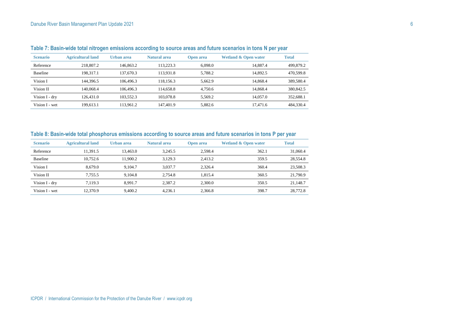| <b>Scenario</b> | <b>Agricultural land</b> | Urban area | <b>Natural area</b> | <b>Open area</b> | <b>Wetland &amp; Open water</b> | <b>Total</b> |
|-----------------|--------------------------|------------|---------------------|------------------|---------------------------------|--------------|
| Reference       | 218,807.2                | 146.863.2  | 113.223.3           | 6.098.0          | 14.887.4                        | 499,879.2    |
| <b>Baseline</b> | 198.317.1                | 137,670.3  | 113.931.8           | 5.788.2          | 14.892.5                        | 470,599.8    |
| Vision I        | 144.396.5                | 106,496.3  | 118.156.3           | 5.662.9          | 14.868.4                        | 389,580.4    |
| Vision II       | 140,068.4                | 106,496.3  | 114,658.8           | 4.750.6          | 14.868.4                        | 380,842.5    |
| Vision I - dry  | 126.431.0                | 103.552.3  | 103,078.8           | 5.569.2          | 14,057.0                        | 352,688.1    |
| Vision I - wet  | 199,613.1                | 113.961.2  | 147.401.9           | 5.882.6          | 17.471.6                        | 484,330.4    |
|                 |                          |            |                     |                  |                                 |              |

#### **Table 7: Basin-wide total nitrogen emissions according to source areas and future scenarios in tons N per year**

#### **Table 8: Basin-wide total phosphorus emissions according to source areas and future scenarios in tons P per year**

| <b>Scenario</b> | <b>Agricultural land</b> | Urban area | Natural area | <b>Open area</b> | <b>Wetland &amp; Open water</b> | <b>Total</b> |
|-----------------|--------------------------|------------|--------------|------------------|---------------------------------|--------------|
| Reference       | 1.391.5                  | 13.463.0   | 3.245.5      | 2.598.4          | 362.1                           | 31,060.4     |
| Baseline        | 10.752.6                 | 11,900.2   | 3.129.3      | 2.413.2          | 359.5                           | 28,554.8     |
| Vision I        | 8.679.0                  | 9.104.7    | 3.037.7      | 2.326.4          | 360.4                           | 23,508.3     |
| Vision II       | 7.755.5                  | 9.104.8    | 2.754.8      | 1.815.4          | 360.5                           | 21,790.9     |
| Vision I - dry  | 7.119.3                  | 8.991.7    | 2.387.2      | 2.300.0          | 350.5                           | 21.148.7     |
| Vision I - wet  | 12,370.9                 | 9.400.2    | 4.236.1      | 2.366.8          | 398.7                           | 28,772.8     |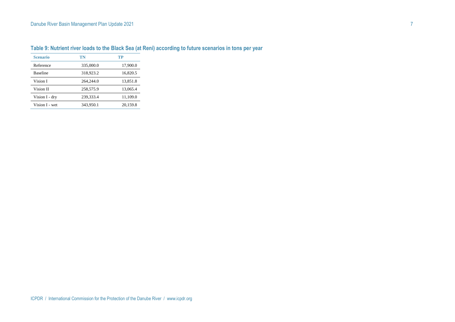#### Danube River Basin Management Plan Update 2021 **7** And The Second State Second State State State State State State State State State State State State State State State State State State State State State State State State

| <b>Scenario</b> | TN        | TP       |
|-----------------|-----------|----------|
| Reference       | 335,000.0 | 17,900.0 |
| <b>Baseline</b> | 318,923.2 | 16.820.5 |
| Vision I        | 264,244.0 | 13.851.8 |
| Vision II       | 258,575.9 | 13,065.4 |
| Vision I - dry  | 239,333.4 | 11,109.0 |
| Vision I - wet  | 343.950.1 | 20.159.8 |

## **Table 9: Nutrient river loads to the Black Sea (at Reni) according to future scenarios in tons per year**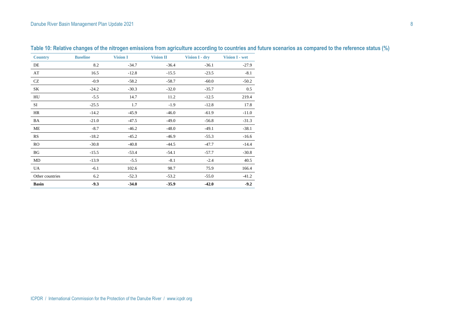| <b>Country</b>  | <b>Baseline</b> | <b>Vision I</b> | <b>Vision II</b> | Vision I - dry | Vision I - wet |
|-----------------|-----------------|-----------------|------------------|----------------|----------------|
| DE              | 8.2             | $-34.7$         | $-36.4$          | $-36.1$        | $-27.9$        |
| AT              | 16.5            | $-12.8$         | $-15.5$          | $-23.5$        | $-8.1$         |
| CZ              | $-0.9$          | $-58.2$         | $-58.7$          | $-60.0$        | $-50.2$        |
| SK              | $-24.2$         | $-30.3$         | $-32.0$          | $-35.7$        | 0.5            |
| HU              | $-5.5$          | 14.7            | 11.2             | $-12.5$        | 219.4          |
| SI              | $-25.5$         | 1.7             | $-1.9$           | $-12.8$        | 17.8           |
| HR              | $-14.2$         | $-45.9$         | $-46.0$          | $-61.9$        | $-11.0$        |
| BA              | $-21.0$         | $-47.5$         | $-49.0$          | $-56.8$        | $-31.3$        |
| ME              | $-8.7$          | $-46.2$         | $-48.0$          | $-49.1$        | $-38.1$        |
| <b>RS</b>       | $-18.2$         | $-45.2$         | $-46.9$          | $-55.3$        | $-16.6$        |
| <b>RO</b>       | $-30.8$         | $-40.8$         | $-44.5$          | $-47.7$        | $-14.4$        |
| BG              | $-15.5$         | $-53.4$         | $-54.1$          | $-57.7$        | $-30.8$        |
| MD              | $-13.9$         | $-5.5$          | $-8.1$           | $-2.4$         | 40.5           |
| UA              | $-6.1$          | 102.6           | 98.7             | 75.9           | 166.4          |
| Other countries | 6.2             | $-52.3$         | $-53.2$          | $-55.0$        | $-41.2$        |
| <b>Basin</b>    | $-9.3$          | $-34.0$         | $-35.9$          | $-42.0$        | $-9.2$         |

**Table 10: Relative changes of the nitrogen emissions from agriculture according to countries and future scenarios as compared to the reference status (%)**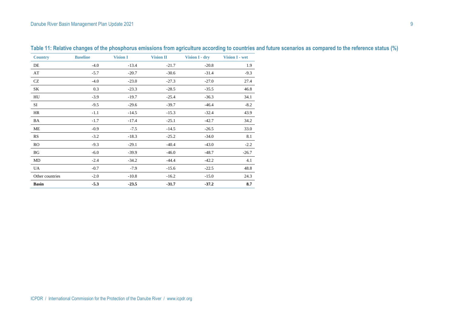| <b>Country</b>  | <b>Baseline</b> | <b>Vision I</b> | <b>Vision II</b> | Vision I - dry | Vision I - wet |
|-----------------|-----------------|-----------------|------------------|----------------|----------------|
| DE              | $-4.0$          | $-13.4$         | $-21.7$          | $-20.8$        | 1.9            |
| AT              | $-5.7$          | $-20.7$         | $-30.6$          | $-31.4$        | $-9.3$         |
| <b>CZ</b>       | $-4.0$          | $-23.0$         | $-27.3$          | $-27.0$        | 27.4           |
| SK              | 0.3             | $-23.3$         | $-28.5$          | $-35.5$        | 46.8           |
| HU              | $-3.9$          | $-19.7$         | $-25.4$          | $-36.3$        | 34.1           |
| SI              | $-9.5$          | $-29.6$         | $-39.7$          | $-46.4$        | $-8.2$         |
| HR              | $-1.1$          | $-14.5$         | $-15.3$          | $-32.4$        | 43.9           |
| BA              | $-1.7$          | $-17.4$         | $-25.1$          | $-42.7$        | 34.2           |
| ME              | $-0.9$          | $-7.5$          | $-14.5$          | $-26.5$        | 33.0           |
| <b>RS</b>       | $-3.2$          | $-18.3$         | $-25.2$          | $-34.0$        | 8.1            |
| RO              | $-9.3$          | $-29.1$         | $-40.4$          | $-43.0$        | $-2.2$         |
| BG              | $-6.0$          | $-39.9$         | $-46.0$          | $-48.7$        | $-26.7$        |
| MD              | $-2.4$          | $-34.2$         | $-44.4$          | $-42.2$        | 4.1            |
| UA              | $-0.7$          | $-7.9$          | $-15.6$          | $-22.5$        | 48.8           |
| Other countries | $-2.0$          | $-10.8$         | $-16.2$          | $-15.0$        | 24.3           |
| <b>Basin</b>    | $-5.3$          | $-23.5$         | $-31.7$          | $-37.2$        | 8.7            |

**Table 11: Relative changes of the phosphorus emissions from agriculture according to countries and future scenarios as compared to the reference status (%)**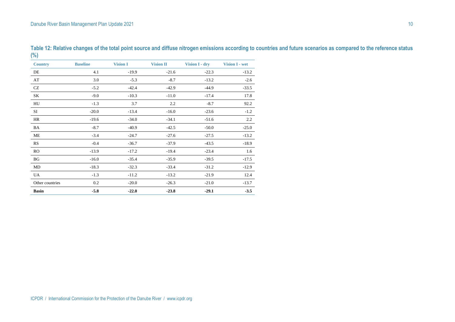| <b>Country</b>  | <b>Baseline</b> | <b>Vision I</b> | <b>Vision II</b> | Vision I - dry | Vision I - wet |
|-----------------|-----------------|-----------------|------------------|----------------|----------------|
| DE              | 4.1             | $-19.9$         | $-21.6$          | $-22.3$        | $-13.2$        |
| AT              | 3.0             | $-5.3$          | $-8.7$           | $-13.2$        | $-2.6$         |
| CZ              | $-5.2$          | $-42.4$         | $-42.9$          | $-44.9$        | $-33.5$        |
| SK              | $-9.0$          | $-10.3$         | $-11.0$          | $-17.4$        | 17.8           |
| HU              | $-1.3$          | 3.7             | 2.2              | $-8.7$         | 92.2           |
| SI              | $-20.0$         | $-13.4$         | $-16.0$          | $-23.6$        | $-1.2$         |
| HR              | $-19.6$         | $-34.0$         | $-34.1$          | $-51.6$        | 2.2            |
| BA              | $-8.7$          | $-40.9$         | $-42.5$          | $-50.0$        | $-25.0$        |
| ME              | $-3.4$          | $-24.7$         | $-27.6$          | $-27.5$        | $-13.2$        |
| RS              | $-0.4$          | $-36.7$         | $-37.9$          | $-43.5$        | $-18.9$        |
| <b>RO</b>       | $-13.9$         | $-17.2$         | $-19.4$          | $-23.4$        | 1.6            |
| BG              | $-16.0$         | $-35.4$         | $-35.9$          | $-39.5$        | $-17.5$        |
| MD              | $-18.3$         | $-32.3$         | $-33.4$          | $-31.2$        | $-12.9$        |
| UA              | $-1.3$          | $-11.2$         | $-13.2$          | $-21.9$        | 12.4           |
| Other countries | 0.2             | $-20.0$         | $-26.3$          | $-21.0$        | $-13.7$        |
| <b>Basin</b>    | $-5.8$          | $-22.0$         | $-23.8$          | $-29.1$        | $-3.5$         |

**Table 12: Relative changes of the total point source and diffuse nitrogen emissions according to countries and future scenarios as compared to the reference status (%)**